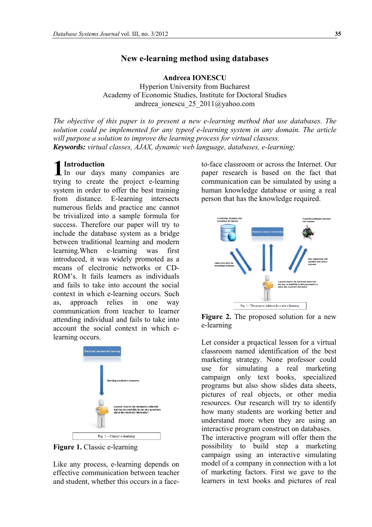# **New e-learning method using databases**

**Andreea IONESCU** Hyperion University from Bucharest Academy of Economic Studies, Institute for Doctoral Studies andreea\_ionescu\_25\_2011@yahoo.com

*The objective of this paper is to present a new e-learning method that use databases. The solution could pe implemented for any typeof e-learning system in any domain. The article will purpose a solution to improve the learning process for virtual classess. Keywords: virtual classes, AJAX, dynamic web language, databases, e-learning;* 

# **Introduction**

Introduction<br>In our days many companies are trying to create the project e-learning system in order to offer the best training from distance. E-learning intersects numerous fields and practice anc cannot be trivialized into a sample formula for success. Therefore our paper will try to include the database system as a bridge between traditional learning and modern learning.When e-learning was first introduced, it was widely promoted as a means of electronic networks or CD-ROM's. It fails learners as individuals and fails to take into account the social context in which e-learning occurs. Such as, approach relies in one way communication from teacher to learner attending individual and fails to take into account the social context in which elearning occurs.



**Figure 1.** Classic e-learning

Like any process, e-learning depends on effective communication between teacher and student, whether this occurs in a faceto-face classroom or across the Internet. Our paper research is based on the fact that communication can be simulated by using a human knowledge database or using a real person that has the knowledge required.



**Figure 2.** The proposed solution for a new e-learning

Let consider a prqactical lesson for a virtual classroom named identification of the best marketing strategy. None professor could use for simulating a real marketing campaign only text books, specialized programs but also show slides data sheets, pictures of real objects, or other media resources. Our research will try to identify how many students are working better and understand more when they are using an interactive program construct on databases.

The interactive program will offer them the possibility to build step a marketing campaign using an interactive simulating model of a company in connection with a lot of marketing factors. First we gave to the learners in text books and pictures of real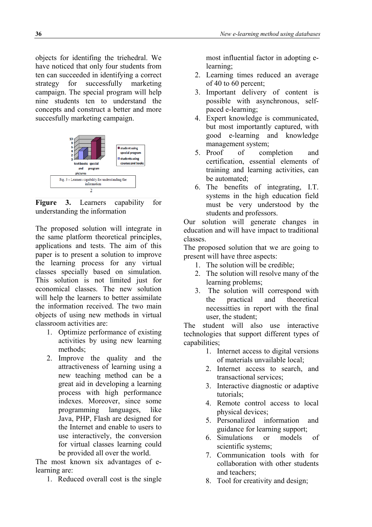objects for identifing the triehedral. We have noticed that only four students from ten can succeeded in identifying a correct strategy for successfully marketing campaign. The special program will help nine students ten to understand the concepts and construct a better and more succesfully marketing campaign.



**Figure 3.** Learners capability for understanding the information

The proposed solution will integrate in the same platform theoretical principles, applications and tests. The aim of this paper is to present a solution to improve the learning process for any virtual classes specially based on simulation. This solution is not limited just for economical classes. The new solution will help the learners to better assimilate the information received. The two main objects of using new methods in virtual classroom activities are:

- 1. Optimize performance of existing activities by using new learning methods;
- 2. Improve the quality and the attractiveness of learning using a new teaching method can be a great aid in developing a learning process with high performance indexes. Moreover, since some programming languages, like Java, PHP, Flash are designed for the Internet and enable to users to use interactively, the conversion for virtual classes learning could be provided all over the world.

The most known six advantages of elearning are:

1. Reduced overall cost is the single

most influential factor in adopting elearning;

- 2. Learning times reduced an average of 40 to 60 percent;
- 3. Important delivery of content is possible with asynchronous, selfpaced e-learning;
- 4. Expert knowledge is communicated, but most importantly captured, with good e-learning and knowledge management system;
- 5. Proof of completion and certification, essential elements of training and learning activities, can be automated;
- 6. The benefits of integrating, I.T. systems in the high education field must be very understood by the students and professors.

Our solution will generate changes in education and will have impact to traditional classes.

The proposed solution that we are going to present will have three aspects:

- 1. The solution will be credible;
- 2. The solution will resolve many of the learning problems;
- 3. The solution will correspond with the practical and theoretical necessitties in report with the final user, the student;

The student will also use interactive technologies that support different types of capabilities;

- 1. Internet access to digital versions of materials unvailable local;
- 2. Internet access to search, and transactional services;
- 3. Interactive diagnostic or adaptive tutorials;
- 4. Remote control access to local physical devices;
- 5. Personalized information and guidance for learning support;
- 6. Simulations or models of scientific systems;
- 7. Communication tools with for collaboration with other students and teachers;
- 8. Tool for creativity and design;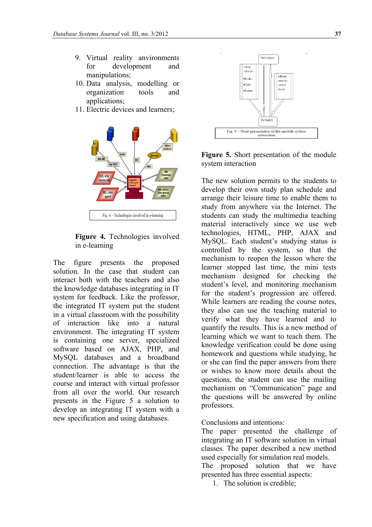- 9. Virtual reality anvironments for development and manipulations;
- 10. Data analysis, modelling or organization tools and applications;
- 11. Electric devices and learners;



**Figure 4.** Technologies involved in e-learning

The figure presents the proposed solution. In the case that student can interact both with the teachers and also the knowledge databases integrating in IT system for feedback. Like the professor, the integrated IT system put the student in a virtual classroom with the possibility of interaction like into a natural environment. The integrating IT system is containing one server, specialized software based on AJAX, PHP, and MySQL databases and a broadband connection. The advantage is that the student/learner is able to access the course and interact with virtual professor from all over the world. Our research presents in the Figure 5 a solution to develop an integrating IT system with a new specification and using databases.



**Figure 5.** Short presentation of the module system interaction

The new solution permits to the students to develop their own study plan schedule and arrange their leisure time to enable them to study from anywhere via the Internet. The students can study the multimedia teaching material interactively since we use web technologies, HTML, PHP, AJAX and MySQL. Each student's studying status is controlled by the system, so that the mechanism to reopen the lesson where the learner stopped last time, the mini tests mechanism designed for checking the student's level, and monitoring mechanism for the student's progression are offered. While learners are reading the course notes, they also can use the teaching material to verify what they have learned and to quantify the results. This is a new method of learning which we want to teach them. The knowledge verification could be done using homework and questions while studying, he or she can find the paper answers from there or wishes to know more details about the questions, the student can use the mailing mechanism on "Communication" page and the questions will be answered by online professors.

Conclusions and intentions:

The paper presented the challenge of integrating an IT software solution in virtual classes. The paper described a new method used especially for simulation real models.

The proposed solution that we have presented has three essential aspects:

1. The solution is credible;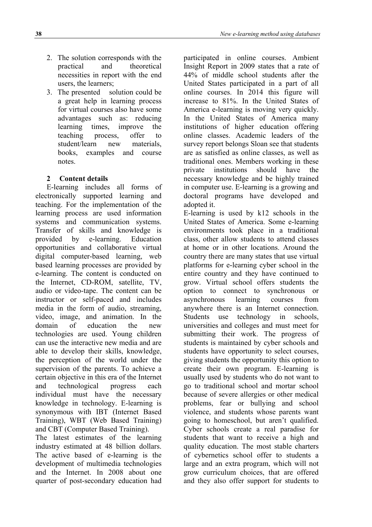- 2. The solution corresponds with the practical and theoretical necessities in report with the end users, the learners;
- 3. The presented solution could be a great help in learning process for virtual courses also have some advantages such as: reducing learning times, improve the teaching process, offer to student/learn new materials, books, examples and course notes.

# **2 Content details**

E-learning includes all forms of electronically supported learning and teaching. For the implementation of the learning process are used information systems and communication systems. Transfer of skills and knowledge is provided by e-learning. Education opportunities and collaborative virtual digital computer-based learning, web based learning processes are provided by e-learning. The content is conducted on the Internet, CD-ROM, satellite, TV, audio or video-tape. The content can be instructor or self-paced and includes media in the form of audio, streaming, video, image, and animation. In the domain of education the new technologies are used. Young children can use the interactive new media and are able to develop their skills, knowledge, the perception of the world under the supervision of the parents. To achieve a certain objective in this era of the Internet and technological progress each individual must have the necessary knowledge in technology. E-learning is synonymous with IBT (Internet Based Training), WBT (Web Based Training) and CBT (Computer Based Training).

The latest estimates of the learning industry estimated at 48 billion dollars. The active based of e-learning is the development of multimedia technologies and the Internet. In 2008 about one quarter of post-secondary education had participated in online courses. Ambient Insight Report in 2009 states that a rate of 44% of middle school students after the United States participated in a part of all online courses. In 2014 this figure will increase to 81%. In the United States of America e-learning is moving very quickly. In the United States of America many institutions of higher education offering online classes. Academic leaders of the survey report belongs Sloan see that students are as satisfied as online classes, as well as traditional ones. Members working in these private institutions should have the necessary knowledge and be highly trained in computer use. E-learning is a growing and doctoral programs have developed and adopted it.

E-learning is used by k12 schools in the United States of America. Some e-learning environments took place in a traditional class, other allow students to attend classes at home or in other locations. Around the country there are many states that use virtual platforms for e-learning cyber school in the entire country and they have continued to grow. Virtual school offers students the option to connect to synchronous or asynchronous learning courses from anywhere there is an Internet connection. Students use technology in schools, universities and colleges and must meet for submitting their work. The progress of students is maintained by cyber schools and students have opportunity to select courses, giving students the opportunity this option to create their own program. E-learning is usually used by students who do not want to go to traditional school and mortar school because of severe allergies or other medical problems, fear or bullying and school violence, and students whose parents want going to homeschool, but aren't qualified. Cyber schools create a real paradise for students that want to receive a high and quality education. The most stable charters of cybernetics school offer to students a large and an extra program, which will not grow curriculum choices, that are offered and they also offer support for students to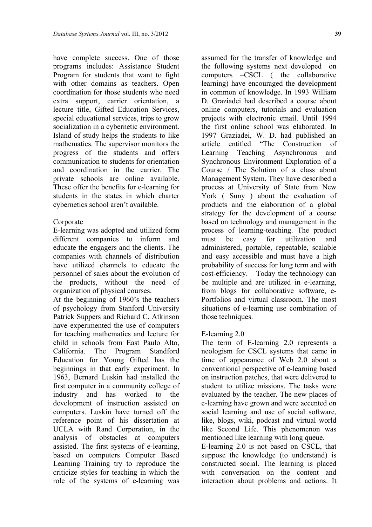have complete success. One of those programs includes: Assistance Student Program for students that want to fight with other domains as teachers. Open coordination for those students who need extra support, carrier orientation, a lecture title, Gifted Education Services, special educational services, trips to grow socialization in a cybernetic environment. Island of study helps the students to like mathematics. The supervisor monitors the progress of the students and offers communication to students for orientation and coordination in the carrier. The private schools are online available. These offer the benefits for e-learning for students in the states in which charter cybernetics school aren't available.

### Corporate

E-learning was adopted and utilized form different companies to inform and educate the engagers and the clients. The companies with channels of distribution have utilized channels to educate the personnel of sales about the evolution of the products, without the need of organization of physical courses.

At the beginning of 1960's the teachers of psychology from Stanford University Patrick Suppers and Richard C. Atkinson have experimented the use of computers for teaching mathematics and lecture for child in schools from East Paulo Alto California. The Program Standford Education for Young Gifted has the beginnings in that early experiment. In 1963, Bernard Luskin had installed the first computer in a community college of industry and has worked to the development of instruction assisted on computers. Luskin have turned off the reference point of his dissertation at UCLA with Rand Corporation, in the analysis of obstacles at computers assisted. The first systems of e-learning, based on computers Computer Based Learning Training try to reproduce the criticize styles for teaching in which the role of the systems of e-learning was

assumed for the transfer of knowledge and the following systems next developed on computers –CSCL ( the collaborative learning) have encouraged the development in common of knowledge. In 1993 William D. Graziadei had described a course about online computers, tutorials and evaluation projects with electronic email. Until 1994 the first online school was elaborated. In 1997 Graziadei, W. D. had published an article entitled "The Construction of Learning Teaching Asynchronous and Synchronous Environment Exploration of a Course / The Solution of a class about Management System. They have described a process at University of State from New York ( Suny ) about the evaluation of products and the elaboration of a global strategy for the development of a course based on technology and management in the process of learning-teaching. The product must be easy for utilization and administered, portable, repeatable, scalable and easy accessible and must have a high probability of success for long term and with cost-efficiency. Today the technology can be multiple and are utilized in e-learning, from blogs for collaborative software, e-Portfolios and virtual classroom. The most situations of e-learning use combination of those techniques.

#### E-learning 2.0

The term of E-learning 2.0 represents a neologism for CSCL systems that came in time of appearance of Web 2.0 about a conventional perspective of e-learning based on instruction patches, that were delivered to student to utilize missions. The tasks were evaluated by the teacher. The new places of e-learning have grown and were accented on social learning and use of social software, like, blogs, wiki, podcast and virtual world like Second Life. This phenomenon was mentioned like learning with long queue.

E-learning 2.0 is not based on CSCL, that suppose the knowledge (to understand) is constructed social. The learning is placed with conversation on the content and interaction about problems and actions. It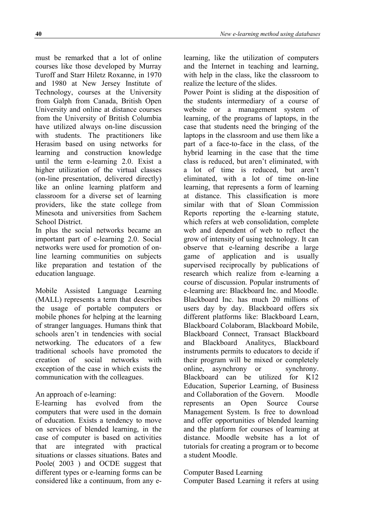must be remarked that a lot of online courses like those developed by Murray Turoff and Starr Hiletz Roxanne, in 1970 and 1980 at New Jersey Institute of Technology, courses at the University from Galph from Canada, British Open University and online at distance courses from the University of British Columbia have utilized always on-line discussion with students. The practitioners like Herasim based on using networks for learning and construction knowledge until the term e-learning 2.0. Exist a higher utilization of the virtual classes (on-line presentation, delivered directly) like an online learning platform and classroom for a diverse set of learning providers, like the state college from Minesota and universities from Sachem School District.

In plus the social networks became an important part of e-learning 2.0. Social networks were used for promotion of online learning communities on subjects like preparation and testation of the education language.

Mobile Assisted Language Learning (MALL) represents a term that describes the usage of portable computers or mobile phones for helping at the learning of stranger languages. Humans think that schools aren't in tendencies with social networking. The educators of a few traditional schools have promoted the creation of social networks with exception of the case in which exists the communication with the colleagues.

## An approach of e-learning:

E-learning has evolved from the computers that were used in the domain of education. Exists a tendency to move on services of blended learning, in the case of computer is based on activities that are integrated with practical situations or classes situations. Bates and Poole( 2003 ) and OCDE suggest that different types or e-learning forms can be considered like a continuum, from any elearning, like the utilization of computers and the Internet in teaching and learning, with help in the class, like the classroom to realize the lecture of the slides.

Power Point is sliding at the disposition of the students intermediary of a course of website or a management system of learning, of the programs of laptops, in the case that students need the bringing of the laptops in the classroom and use them like a part of a face-to-face in the class, of the hybrid learning in the case that the time class is reduced, but aren't eliminated, with a lot of time is reduced, but aren't eliminated, with a lot of time on-line learning, that represents a form of learning at distance. This classification is more similar with that of Sloan Commission Reports reporting the e-learning statute, which refers at web consolidation, complete web and dependent of web to reflect the grow of intensity of using technology. It can observe that e-learning describe a large game of application and is usually supervised reciprocally by publications of research which realize from e-learning a course of discussion. Popular instruments of e-learning are: Blackboard Inc. and Moodle. Blackboard Inc. has much 20 millions of users day by day. Blackboard offers six different platforms like: Blackboard Learn, Blackboard Colaboram, Blackboard Mobile, Blackboard Connect, Transact Blackboard and Blackboard Analitycs, Blackboard instruments permits to educators to decide if their program will be mixed or completely online, asynchrony or synchrony. Blackboard can be utilized for K12 Education, Superior Learning, of Business and Collaboration of the Govern. Moodle represents an Open Source Course Management System. Is free to download and offer opportunities of blended learning and the platform for courses of learning at distance. Moodle website has a lot of tutorials for creating a program or to become a student Moodle.

#### Computer Based Learning

Computer Based Learning it refers at using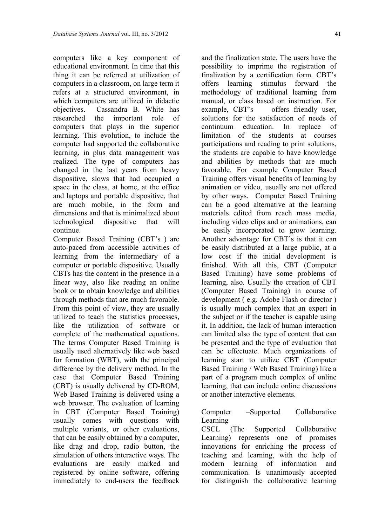computers like a key component of educational environment. In time that this thing it can be referred at utilization of computers in a classroom, on large term it refers at a structured environment, in which computers are utilized in didactic objectives. Cassandra B. White has researched the important role of computers that plays in the superior learning. This evolution, to include the computer had supported the collaborative learning, in plus data management was realized. The type of computers has changed in the last years from heavy dispositive, slows that had occupied a space in the class, at home, at the office and laptops and portable dispositive, that are much mobile, in the form and dimensions and that is minimalized about technological dispositive that will continue.

Computer Based Training (CBT's ) are auto-paced from accessible activities of learning from the intermediary of a computer or portable dispositive. Usually CBTs has the content in the presence in a linear way, also like reading an online book or to obtain knowledge and abilities through methods that are much favorable. From this point of view, they are usually utilized to teach the statistics processes, like the utilization of software or complete of the mathematical equations. The terms Computer Based Training is usually used alternatively like web based for formation (WBT), with the principal difference by the delivery method. In the case that Computer Based Training (CBT) is usually delivered by CD-ROM, Web Based Training is delivered using a web browser. The evaluation of learning in CBT (Computer Based Training) usually comes with questions with multiple variants, or other evaluations, that can be easily obtained by a computer, like drag and drop, radio button, the simulation of others interactive ways. The evaluations are easily marked and registered by online software, offering immediately to end-users the feedback

and the finalization state. The users have the possibility to imprime the registration of finalization by a certification form. CBT's offers learning stimulus forward the methodology of traditional learning from manual, or class based on instruction. For example, CBT's offers friendly user, solutions for the satisfaction of needs of continuum education. In replace of limitation of the students at courses participations and reading to print solutions, the students are capable to have knowledge and abilities by methods that are much favorable. For example Computer Based Training offers visual benefits of learning by animation or video, usually are not offered by other ways. Computer Based Training can be a good alternative at the learning materials edited from reach mass media, including video clips and or animations, can be easily incorporated to grow learning. Another advantage for CBT's is that it can be easily distributed at a large public, at a low cost if the initial development is finished. With all this, CBT (Computer Based Training) have some problems of learning, also. Usually the creation of CBT (Computer Based Training) in course of development ( e.g. Adobe Flash or director ) is usually much complex that an expert in the subject or if the teacher is capable using it. In addition, the lack of human interaction can limited also the type of content that can be presented and the type of evaluation that can be effectuate. Much organizations of learning start to utilize CBT (Computer Based Training / Web Based Training) like a part of a program much complex of online learning, that can include online discussions or another interactive elements.

#### Computer –Supported Collaborative Learning

CSCL (The Supported Collaborative Learning) represents one of promises innovations for enriching the process of teaching and learning, with the help of modern learning of information and communication. Is unanimously accepted for distinguish the collaborative learning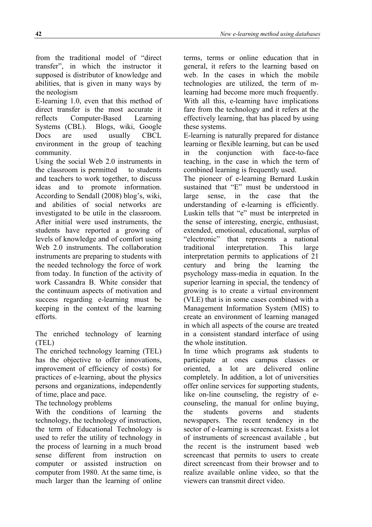from the traditional model of "direct transfer", in which the instructor it supposed is distributor of knowledge and abilities, that is given in many ways by the neologism

E-learning 1.0, even that this method of direct transfer is the most accurate it reflects Computer-Based Learning Systems (CBL). Blogs, wiki, Google Docs are used usually CBCL environment in the group of teaching community.

Using the social Web 2.0 instruments in the classroom is permitted to students and teachers to work together, to discuss ideas and to promote information. According to Sendall (2008) blog's, wiki, and abilities of social networks are investigated to be utile in the classroom. After initial were used instruments, the students have reported a growing of levels of knowledge and of comfort using Web 2.0 instruments. The collaboration instruments are preparing to students with the needed technology the force of work from today. In function of the activity of work Cassandra B. White consider that the continuum aspects of motivation and success regarding e-learning must be keeping in the context of the learning efforts.

The enriched technology of learning (TEL)

The enriched technology learning (TEL) has the objective to offer innovations, improvement of efficiency of costs) for practices of e-learning, about the physics persons and organizations, independently of time, place and pace.

The technology problems

With the conditions of learning the technology, the technology of instruction, the term of Educational Technology is used to refer the utility of technology in the process of learning in a much broad sense different from instruction on computer or assisted instruction on computer from 1980. At the same time, is much larger than the learning of online terms, terms or online education that in general, it refers to the learning based on web. In the cases in which the mobile technologies are utilized, the term of mlearning had become more much frequently. With all this, e-learning have implications fare from the technology and it refers at the effectively learning, that has placed by using these systems.

E-learning is naturally prepared for distance learning or flexible learning, but can be used in the conjunction with face-to-face teaching, in the case in which the term of combined learning is frequently used.

The pioneer of e-learning Bernard Luskin sustained that "E" must be understood in large sense, in the case that the understanding of e-learning is efficiently. Luskin tells that "e" must be interpreted in the sense of interesting, energic, enthusiast, extended, emotional, educational, surplus of "electronic" that represents a national traditional interpretation. This large interpretation permits to applications of 21 century and bring the learning the psychology mass-media in equation. In the superior learning in special, the tendency of growing is to create a virtual environment (VLE) that is in some cases combined with a Management Information System (MIS) to create an environment of learning managed in which all aspects of the course are treated in a consistent standard interface of using the whole institution.

In time which programs ask students to participate at ones campus classes or oriented, a lot are delivered online completely. In addition, a lot of universities offer online services for supporting students, like on-line counseling, the registry of ecounseling, the manual for online buying, the students governs and students newspapers. The recent tendency in the sector of e-learning is screencast. Exists a lot of instruments of screencast available , but the recent is the instrument based web screencast that permits to users to create direct screencast from their browser and to realize available online video, so that the viewers can transmit direct video.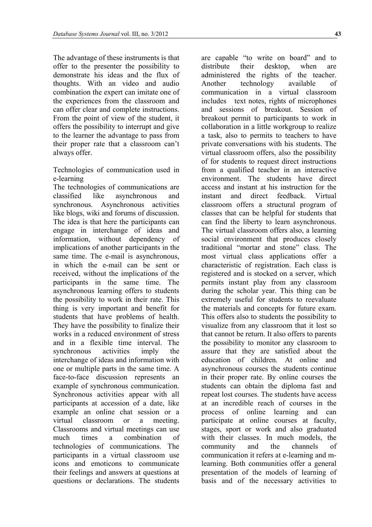The advantage of these instruments is that offer to the presenter the possibility to demonstrate his ideas and the flux of thoughts. With an video and audio combination the expert can imitate one of the experiences from the classroom and can offer clear and complete instructions. From the point of view of the student, it offers the possibility to interrupt and give to the learner the advantage to pass from their proper rate that a classroom can't always offer.

Technologies of communication used in e-learning

The technologies of communications are classified like asynchronous and synchronous. Asynchronous activities like blogs, wiki and forums of discussion. The idea is that here the participants can engage in interchange of ideas and information, without dependency of implications of another participants in the same time. The e-mail is asynchronous, in which the e-mail can be sent or received, without the implications of the participants in the same time. The asynchronous learning offers to students the possibility to work in their rate. This thing is very important and benefit for students that have problems of health. They have the possibility to finalize their works in a reduced environment of stress and in a flexible time interval. The synchronous activities imply the interchange of ideas and information with one or multiple parts in the same time. A face-to-face discussion represents an example of synchronous communication. Synchronous activities appear with all participants at accession of a date, like example an online chat session or a virtual classroom or a meeting. Classrooms and virtual meetings can use much times a combination of technologies of communications. The participants in a virtual classroom use icons and emoticons to communicate their feelings and answers at questions at questions or declarations. The students

are capable "to write on board" and to distribute their desktop, when are administered the rights of the teacher. Another technology available of communication in a virtual classroom includes text notes, rights of microphones and sessions of breakout. Session of breakout permit to participants to work in collaboration in a little workgroup to realize a task, also to permits to teachers to have private conversations with his students. The virtual classroom offers, also the possibility of for students to request direct instructions from a qualified teacher in an interactive environment. The students have direct access and instant at his instruction for the instant and direct feedback. Virtual classroom offers a structural program of classes that can be helpful for students that can find the liberty to learn asynchronous. The virtual classroom offers also, a learning social environment that produces closely traditional "mortar and stone" class. The most virtual class applications offer a characteristic of registration. Each class is registered and is stocked on a server, which permits instant play from any classroom during the scholar year. This thing can be extremely useful for students to reevaluate the materials and concepts for future exam. This offers also to students the possibility to visualize from any classroom that it lost so that cannot be return. It also offers to parents the possibility to monitor any classroom to assure that they are satisfied about the education of children. At online and asynchronous courses the students continue in their proper rate. By online courses the students can obtain the diploma fast and repeat lost courses. The students have access at an incredible reach of courses in the process of online learning and can participate at online courses at faculty, stages, sport or work and also graduated with their classes. In much models, the community and the channels of communication it refers at e-learning and mlearning. Both communities offer a general presentation of the models of learning of basis and of the necessary activities to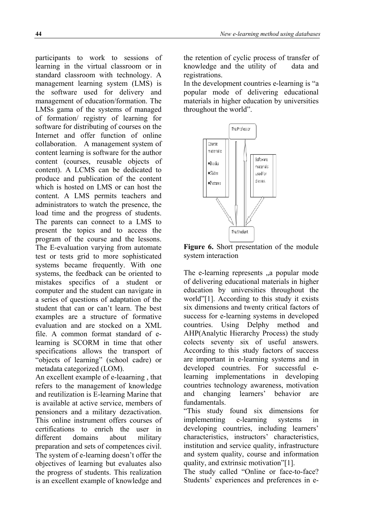participants to work to sessions of learning in the virtual classroom or in standard classroom with technology. A management learning system (LMS) is the software used for delivery and management of education/formation. The LMSs gama of the systems of managed of formation/ registry of learning for software for distributing of courses on the Internet and offer function of online collaboration. A management system of content learning is software for the author content (courses, reusable objects of content). A LCMS can be dedicated to produce and publication of the content which is hosted on LMS or can host the content. A LMS permits teachers and administrators to watch the presence, the load time and the progress of students. The parents can connect to a LMS to present the topics and to access the program of the course and the lessons. The E-evaluation varying from automate test or tests grid to more sophisticated systems became frequently. With one systems, the feedback can be oriented to mistakes specifics of a student or computer and the student can navigate in a series of questions of adaptation of the student that can or can't learn. The best examples are a structure of formative evaluation and are stocked on a XML file. A common format standard of elearning is SCORM in time that other specifications allows the transport of "objects of learning" (school cadre) or metadata categorized (LOM).

An excellent example of e-leaarning , that refers to the management of knowledge and reutilization is E-learning Marine that is available at active service, members of pensioners and a military dezactivation. This online instrument offers courses of certifications to enrich the user in different domains about military preparation and sets of competences civil. The system of e-learning doesn't offer the objectives of learning but evaluates also the progress of students. This realization is an excellent example of knowledge and the retention of cyclic process of transfer of knowledge and the utility of data and registrations.

In the development countries e-learning is "a popular mode of delivering educational materials in higher education by universities throughout the world".



**Figure 6.** Short presentation of the module system interaction

The e-learning represents a popular mode of delivering educational materials in higher education by universities throughout the world"[1]. According to this study it exists six dimensions and twenty critical factors of success for e-learning systems in developed countries. Using Delphy method and AHP(Analytic Hierarchy Process) the study colects seventy six of useful answers. According to this study factors of success are important in e-learning systems and in developed countries. For successful elearning implementations in developing countries technology awareness, motivation and changing learners' behavior are fundamentals.

"This study found six dimensions for implementing e-learning systems in developing countries, including learners' characteristics, instructors' characteristics, institution and service quality, infrastructure and system quality, course and information quality, and extrinsic motivation"[1].

The study called "Online or face-to-face? Students' experiences and preferences in e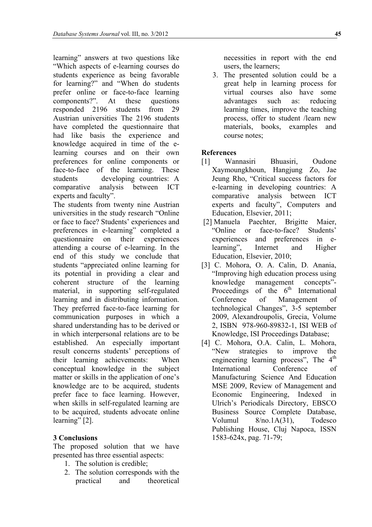learning" answers at two questions like "Which aspects of e-learning courses do students experience as being favorable for learning?" and "When do students prefer online or face-to-face learning components?". At these questions responded 2196 students from 29 Austrian universities The 2196 students have completed the questionnaire that had like basis the experience and knowledge acquired in time of the elearning courses and on their own preferences for online components or face-to-face of the learning. These students developing countries: A comparative analysis between ICT experts and faculty".

The students from twenty nine Austrian universities in the study research "Online or face to face? Students' experiences and preferences in e-learning" completed a questionnaire on their experiences attending a course of e-learning. In the end of this study we conclude that students "appreciated online learning for its potential in providing a clear and coherent structure of the learning material, in supporting self-regulated learning and in distributing information. They preferred face-to-face learning for communication purposes in which a shared understanding has to be derived or in which interpersonal relations are to be established. An especially important result concerns students' perceptions of their learning achievements: When conceptual knowledge in the subject matter or skills in the application of one's knowledge are to be acquired, students prefer face to face learning. However, when skills in self-regulated learning are to be acquired, students advocate online learning" [2].

# **3 Conclusions**

The proposed solution that we have presented has three essential aspects:

- 1. The solution is credible;
- 2. The solution corresponds with the practical and theoretical

necessities in report with the end users, the learners;

3. The presented solution could be a great help in learning process for virtual courses also have some advantages such as: reducing learning times, improve the teaching process, offer to student /learn new materials, books, examples and course notes;

## **References**

- [1] Wannasiri Bhuasiri, Oudone Xaymoungkhoun, Hangjung Zo, Jae Jeung Rho, "Critical success factors for e-learning in developing countries: A comparative analysis between ICT experts and faculty", Computers and Education, Elsevier, 2011;
- [2] Manuela Paechter, Brigitte Maier, "Online or face-to-face? Students' experiences and preferences in elearning", Internet and Higher Education, Elsevier, 2010;
- [3] C. Mohora, O. A. Calin, D. Anania, "Improving high education process using knowledge management concepts"- Proceedings of the  $6<sup>th</sup>$  International Conference of Management of technological Changes", 3-5 september 2009, Alexandroupolis, Grecia, Volume 2, ISBN 978-960-89832-1, ISI WEB of Knowledge, ISI Proceedings Database;
- [4] C. Mohora, O.A. Calin, L. Mohora, "New strategies to improve the engineering learning process", The 4<sup>th</sup> International Conference of Manufacturing Science And Education MSE 2009, Review of Management and Economic Engineering, Indexed in Ulrich's Periodicals Directory, EBSCO Business Source Complete Database, Volumul 8/no.1A(31), Todesco Publishing House, Cluj Napoca, ISSN 1583-624x, pag. 71-79;